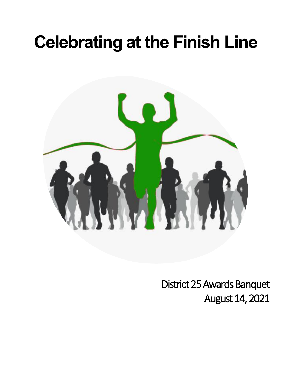# **Celebrating at the Finish Line**



District 25 Awards Banquet August 14, 2021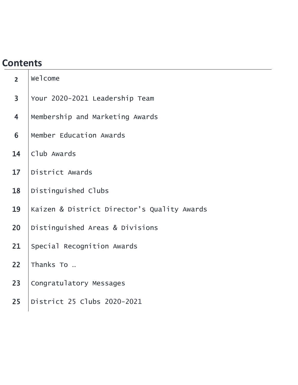## **Contents**

| 2 <sup>1</sup>          | welcome                                     |
|-------------------------|---------------------------------------------|
| $\overline{3}$          | Your 2020-2021 Leadership Team              |
| $\overline{\mathbf{4}}$ | Membership and Marketing Awards             |
| 6                       | Member Education Awards                     |
| 14                      | Club Awards                                 |
| 17                      | District Awards                             |
| 18                      | Distinguished Clubs                         |
| 19                      | Kaizen & District Director's Quality Awards |
| 20                      | Distinguished Areas & Divisions             |
| 21                      | Special Recognition Awards                  |
| 22                      | Thanks To                                   |
| 23                      | Congratulatory Messages                     |
| 25                      | District 25 Clubs 2020-2021                 |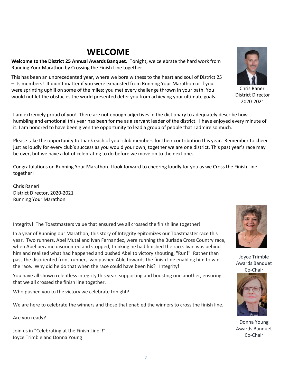### **WELCOME**

**Welcome to the District 25 Annual Awards Banquet.** Tonight, we celebrate the hard work from Running Your Marathon by Crossing the Finish Line together.

This has been an unprecedented year, where we bore witness to the heart and soul of District 25 – its members! It didn't matter if you were exhausted from Running Your Marathon or if you were sprinting uphill on some of the miles; you met every challenge thrown in your path. You would not let the obstacles the world presented deter you from achieving your ultimate goals.

I am extremely proud of you! There are not enough adjectives in the dictionary to adequately describe how humbling and emotional this year has been for me as a servant leader of the district. I have enjoyed every minute of it. I am honored to have been given the opportunity to lead a group of people that I admire so much.

Please take the opportunity to thank each of your club members for their contribution this year. Remember to cheer just as loudly for every club's success as you would your own; together we are one district. This past year's race may be over, but we have a lot of celebrating to do before we move on to the next one.

Congratulations on Running Your Marathon. I look forward to cheering loudly for you as we Cross the Finish Line together!

Chris Raneri District Director, 2020-2021 Running Your Marathon

Integrity! The Toastmasters value that ensured we all crossed the finish line together!

In a year of Running our Marathon, this story of Integrity epitomizes our Toastmaster race this year. Two runners, Abel Mutai and Ivan Fernandez, were running the Burlada Cross Country race, when Abel became disoriented and stopped, thinking he had finished the race. Ivan was behind him and realized what had happened and pushed Abel to victory shouting, "Run!" Rather than pass the disoriented front-runner, Ivan pushed Able towards the finish line enabling him to win the race. Why did he do that when the race could have been his? Integrity!

You have all shown relentless integrity this year, supporting and boosting one another, ensuring that we all crossed the finish line together.

Who pushed you to the victory we celebrate tonight?

We are here to celebrate the winners and those that enabled the winners to cross the finish line.

Are you ready?

Join us in "Celebrating at the Finish Line"!" Joyce Trimble and Donna Young

Chris Raneri District Director 2020-2021



Joyce Trimble Awards Banquet



Donna Young Awards Banquet Co-Chair

Co-Chair

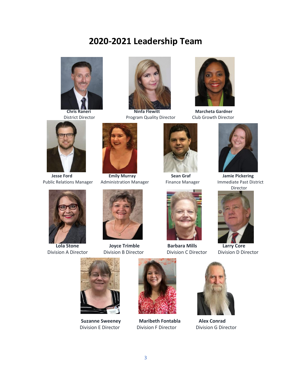### **2020-2021 Leadership Team**





**District Director Program Quality Director Club Growth Director** 



**Chris Raneri Chris Raneri Chris Raneri Chris Raneri Marcheta Gardner** 



Public Relations Manager





 **Jesse Ford Emily Murray Changer Sean Graf Sean State Sean State Sean State Sean State Sean State Sean State Sean State State State State State State State State State State State State State State State State State State** 



 **Lola Stone Joyce Trimble Barbara Mills Larry Core**





Division A Director Division B Director Division C Director Division D Director









 **Suzanne Sweeney Maribeth Fontabla Alex Conrad** Division E Director Division F Director Division G Director





3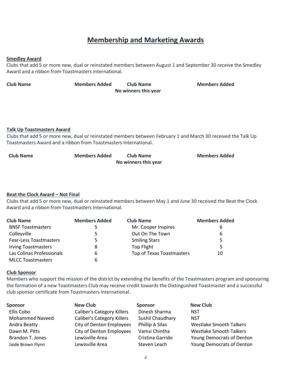### **Membership and Marketing Awards**

#### **Smedley Award**

Clubs that add 5 or more new, dual or reinstated members between August 1 and September 30 receive the Smedley Award and a ribbon from Toastmasters International.

| <b>Club Name</b> | <b>Members Added</b> | <b>Club Name</b>     | <b>Members Added</b> |
|------------------|----------------------|----------------------|----------------------|
|                  |                      | No winners this year |                      |

#### **Talk Up Toastmasters Award**

Clubs that add 5 or more new, dual or reinstated members between February 1 and March 30 received the Talk Up Toastmasters Award and a ribbon from Toastmasters International.

| <b>Club Name</b> | <b>Members Added</b> | Club Name            | <b>Members Added</b> |
|------------------|----------------------|----------------------|----------------------|
|                  |                      | No winners this year |                      |

#### **Beat the Clock Award – Not Final**

Clubs that add 5 or more new, dual or reinstated members between May 1 and June 30 received the Beat the Clock Award and a ribbon from Toastmasters International.

| <b>Club Name</b>              | <b>Members Added</b> | <b>Club Name</b>          | <b>Members Added</b> |
|-------------------------------|----------------------|---------------------------|----------------------|
| <b>BNSF Toastmasters</b>      |                      | Mr. Cooper Inspires       | 6                    |
| Colleyville                   |                      | Out On The Town           | 6                    |
| <b>Fear-Less Toastmasters</b> | 5                    | <b>Smiling Stars</b>      | 5                    |
| <b>Irving Toastmasters</b>    | 8                    | Top Flight                | 5                    |
| Las Colinas Professionals     | 6                    | Top of Texas Toastmasters | 10                   |
| <b>MLCC Toastmasters</b>      |                      |                           |                      |

#### **Club Sponsor**

Members who support the mission of the district by extending the benefits of the Toastmasters program and sponsoring the formation of a new Toastmasters Club may receive credit towards the Distinguished Toastmaster and a successful club sponsor certificate from Toastmasters International.

| <b>Sponsor</b>         | <b>New Club</b>                   | <b>Sponsor</b>   | <b>New Club</b>                |
|------------------------|-----------------------------------|------------------|--------------------------------|
| Ellis Cobo             | <b>Caliber's Category Killers</b> | Dinesh Sharma    | <b>NST</b>                     |
| <b>Mohammed Naveed</b> | <b>Caliber's Category Killers</b> | Sushil Chaudhary | <b>NST</b>                     |
| Andra Beatty           | City of Denton Employees          | Phillip A Silas  | <b>Westlake Smooth Talkers</b> |
| Dawn M. Pitts          | City of Denton Employees          | Vamsi Chintha    | <b>Westlake Smooth Talkers</b> |
| Brandon T. Jones       | Lewisville Area                   | Cristina Garrido | Young Democrats of Denton      |
| Jaide Brown Flynn      | Lewisville Area                   | Steven Leach     | Young Democrats of Denton      |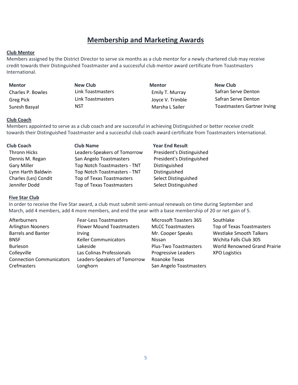### **Membership and Marketing Awards**

#### **Club Mentor**

Members assigned by the District Director to serve six months as a club mentor for a newly chartered club may receive credit towards their Distinguished Toastmaster and a successful club mentor award certificate from Toastmasters International.

| <b>Mentor</b>     | New Club          | <b>Mentor</b>    | <b>New Club</b> |
|-------------------|-------------------|------------------|-----------------|
| Charles P. Bowles | Link Toastmasters | Emily T. Murray  | Safran Se       |
| Greg Pick         | Link Toastmasters | Joyce V. Trimble | Safran Se       |
| Curante Daniel    | <b>NICT</b>       | Manaha L.Cailan  | Toactmac        |

Link Toastmasters **Emily T. Murray** Safran Serve Denton Link Toastmasters The Solution Corresponding University Contract Contract Contract Contract Denton Suresh Basyal **NST** Marsha L Sailer Toastmasters Gartner Irving

#### **Club Coach**

Members appointed to serve as a club coach and are successful in achieving Distinguished or better receive credit towards their Distinguished Toastmaster and a successful club coach award certificate from Toastmasters International.

| <b>Club Coach</b>    | <b>Club Name</b>             | <b>Year End Result</b>    |
|----------------------|------------------------------|---------------------------|
| Thronn Hicks         | Leaders-Speakers of Tomorrow | President's Distinguished |
| Dennis M. Regan      | San Angelo Toastmasters      | President's Distinguished |
| <b>Gary Miller</b>   | Top Notch Toastmasters - TNT | Distinguished             |
| Lynn Harth Baldwin   | Top Notch Toastmasters - TNT | Distinguished             |
| Charles (Les) Condit | Top of Texas Toastmasters    | Select Distinguished      |
| Jennifer Dodd        | Top of Texas Toastmasters    | Select Distinguished      |

#### **Five Star Club**

In order to receive the Five Star award, a club must submit semi-annual renewals on time during September and March, add 4 members, add 4 more members, and end the year with a base membership of 20 or net gain of 5.

| Afterburners                    | <b>Fear-Less Toastmasters</b>    | <b>Microsoft Toasters 365</b> | Southlake                           |
|---------------------------------|----------------------------------|-------------------------------|-------------------------------------|
| <b>Arlington Nooners</b>        | <b>Flower Mound Toastmasters</b> | <b>MLCC Toastmasters</b>      | Top of Texas Toastmasters           |
| <b>Barrels and Banter</b>       | <i>Irving</i>                    | Mr. Cooper Speaks             | <b>Westlake Smooth Talkers</b>      |
| <b>BNSF</b>                     | <b>Keller Communicators</b>      | Nissan                        | Wichita Falls Club 305              |
| <b>Burleson</b>                 | Lakeside                         | <b>Plus-Two Toastmasters</b>  | <b>World Renowned Grand Prairie</b> |
| Colleyville                     | Las Colinas Professionals        | Progressive Leaders           | <b>XPO Logistics</b>                |
| <b>Connection Communicators</b> | Leaders-Speakers of Tomorrow     | Roanoke Texas                 |                                     |
| <b>Crefmasters</b>              | Longhorn                         | San Angelo Toastmasters       |                                     |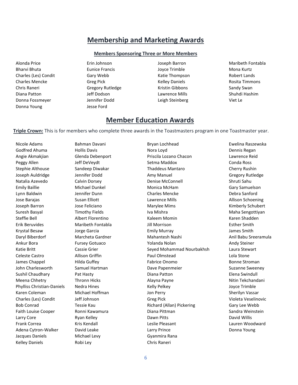### **Membership and Marketing Awards**

#### **Members Sponsoring Three or More Members**

Bharvi Bhuta **Eunice Francis Eunice Francis** Joyce Trimble **Mona Kurtz** Charles (Les) Condit Gary Webb Katie Thompson Robert Lands Charles Mencke Greg Pick Kelley Daniels Rosita Timmons Chris Raneri **Gregory Rutledge** Kristin Gibbons Sandy Swan Diana Patton Jeff Dodson Lawrence Mills Shuhdi Hashim Donna Fossmeyer Jennifer Dodd Leigh Steinberg Viet Le Donna Young **Jesse Ford** 

Alonda Price Erin Johnson Joseph Barron Maribeth Fontabla

- 
- 

### **Member Education Awards**

**Triple Crown:** This is for members who complete three awards in the Toastmasters program in one Toastmaster year.

Jacques Daniels Michael Levy Gyanmira Rana Kelley Daniels **Robi Ley Robi Ley Robi Ley Chris Raneri** 

Nicole Adams Bahman Davani Bryan Lochhead Ewelina Raszewska Godfred Ahuma Hollis Davis Nora Loyd Dennis Regan Angie Akmakjian Glenda Debenport Priscila Lozano Chacon Lawrence Reid Peggy Allen Same Setma Deveydt Setma Maddox Setma Maddox Conda Ross Stephie Althouse Sandeep Diwakar Thaddeus Mantaro Cherry Rushin Joseph Auldridge Jennifer Dodd Amy Manuel Gregory Rutledge Natalia Azevedo Calvin Dorsey Denise McConnell Shruti Sahu Emily Baillie Michael Dunkel Monica McHam Gary Samuelson Lynn Baldwin Jennifer Dunn Charles Mencke Debra Sanford Jose Barajas **Susan Elliott** Lawrence Mills **Lawrence Mills Allison Schoening** Allison Schoening Joseph Barron **Marylee Mims** Jose Feliciano **Marylee Mims** Marylee Mims Kimberly Schubert Suresh Basyal **IVa Mishra Timothy Fields** Iva Mishra Number of Maha Sengottiyan Steffie Bell **Albert Florentino** Kaleem Momin **Karen Shadden** Karen Shadden Erik Beruvides Maribeth Fontabla Jill Morrison Esther Smith Krystal Besaw Jorge Garcia Emily Murray James Smith Daryl Biberdorf Marcheta Gardner Mahantesh Nashi Anil Babu Sreeramula Ankur Bora Fursey Gotuaco Yolanda Nolan Andy Steiner Katie Britt **Seyed Mohammad Nourbakhsh** Laura Stewart Celeste Castro Allison Griffin Paul Olmstead Lola Stone James Chappel **Fabrice Chappel** Hilda Guffey **Fabrice Onomo Fabrice Onomo** Bonne Stroman John Charlesworth Samuel Hartman Dave Papenmeier Suzanne Suzanne Sweeney Sushil Chaudhary Pat Hasty Diana Patton Elena Swindull Meena Chhetry **Thronn Hicks** Alayna Payne Nitin Tekchandani Phylliss Christian-Daniels Nedra Hines Network Christian-Daniels Nedra Hines Religional Religion Religion Religion Karen Coleman **Michael Hoffman** Jon Perry Sherilyn Vassar Charles (Les) Condit Jeff Johnson Greg Pick Violeta Veselinovic Bob Conrad **Tessie Kau** Tessie Kau Richard (Allan) Pickering Gary Lee Webb Faith Louise Cooper **Ronni Kawamura Cooper Cooper Ronni Kawamura** Diana Pittman Sandra Weinstein Larry Core **Ryan Kelley Community Community Core** Dawn Pitts **Community Core** David Willis Frank Correa Theorem Correst Kris Kendall Leslie Pleasant Lauren Woodward Lauren Woodward Adena Cytron-Walker David Leake Larry Prince Donna Young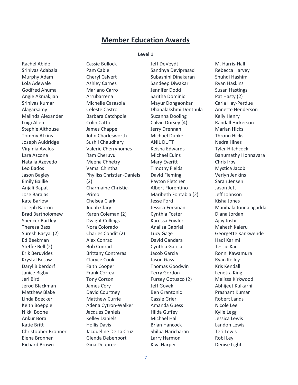### **Member Education Awards**

#### **Level 1**

Rachel Abide Srinivas Adabala Murphy Adam Lola Adewale Godfred Ahuma Angie Akmakjian Srinivas Kumar Alagarsamy Malinda Alexander Luigi Allen Stephie Althouse Tommy Atkins Joseph Auldridge Virginia Avalos Lara Azcona Natalia Azevedo Leo Bados Jason Bagley Emily Baillie Anjali Bapat Jose Barajas Kate Barlow Joseph Barron Brad Bartholomew Spencer Bartley Theresa Bass Suresh Basyal (2) Ed Beekman Steffie Bell (2) Erik Beruvides Krystal Besaw Daryl Biberdorf Janice Bigby Jeri Bird Jerod Blackman Matthew Blake Linda Boecker Keith Boepple Nikki Boone Ankur Bora Katie Britt Christopher Bronner Elena Bronner Richard Brown

Cassie Bullock Pam Cable Cheryl Calvert Ashley Carnes Mariano Carro Arrubarrena Michelle Casasola Celeste Castro Barbara Catchpole Colin Catto James Chappel John Charlesworth Sushil Chaudhary Valerie Cherryhomes Ram Cheruvu Meena Chhetry Vamsi Chintha Phylliss Christian-Daniels (2) Charmaine Christie-Primo Chelsea Clark Judah Clary Karen Coleman (2) Dwight Collings Nora Colorado Charles Condit (2) Alex Conrad Bob Conrad Brittany Contreras Claryce Cook Faith Cooper Frank Correa Tony Corson James Cory David Courtney Matthew Currie Adena Cytron-Walker Jacques Daniels Kelley Daniels Hollis Davis Jacqueline De La Cruz Glenda Debenport Gina Deupree

Jeff DeVeydt Sandhya Deviprasad Subashini Dinakaran Sandeep Diwakar Jennifer Dodd Saritha Dominic Mayur Dongaonkar Dhanalakshmi Donthula Suzanna Dooling Calvin Dorsey (4) Jerry Drennan Michael Dunkel ANIL DUTT Keisha Edwards Michael Euins Mary Everitt Timothy Fields David Fleming Payton Fletcher Albert Florentino Maribeth Fontabla (2) Jesse Ford Jessica Forsman Cynthia Foster Karessa Fowler Analisa Gabriel Lucy Gage David Gandara Cynthia Garcia Jacob Garcia Jason Gass Thomas Goodwin Terry Gordon Fursey Gotuaco (2) Jeff Govek Ben Grantonic Cassie Grier Amanda Guess Hilda Guffey Michael Hall Brian Hancock Shilpa Haricharan Larry Harmon Kiva Harper

M. Harris-Hall Rebecca Harvey Shuhdi Hashim Ryan Haskins Susan Hastings Pat Hasty (2) Carla Hay-Perdue Annette Henderson Kelly Henry Randall Hickerson Marian Hicks Thronn Hicks Nedra Hines Tyler Hitchcock Banumathy Honnavara Chris Irby Mystica Jacob Verlyn Jenkins Sarah Jensen Jason Jett Jeff Johnson Kisha Jones Manibala Jonnalagadda Diana Jordan Ajay Joshi Mahesh Kaleru Georgette Kankwende Hadi Karimi Tessie Kau Ronni Kawamura Ryan Kelley Kris Kendall Lenetra King Melissa Kirkwood Abhijeet Kulkarni Prashant Kumar Robert Lands Nicole Lee Kylie Legg Jessica Lewis Landon Lewis Teri Lewis Robi Ley Denise Light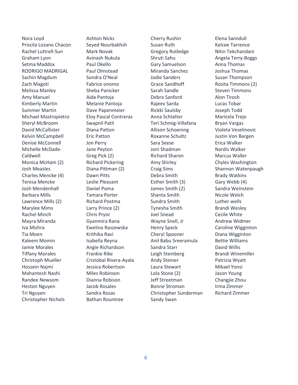Nora Loyd Priscila Lozano Chacon Rachel Luttrell-Sun Graham Lyon Setma Maddox RODRIGO MADRIGAL Sachin Magdum Zach Magoti Melissa Manley Amy Manuel Kimberly Martin Summer Martin Michael Mastropietro Sheryl McBroom David McCallister Kelvin McCampbell Denise McConnell Michelle McDade-Caldwell Monica McHam (2) Josh Measles Charles Mencke (4) Teresa Mencke Josh Mendenhall Barbara Mills Lawrence Mills (2) Marylee Mims Rachel Minch Mayra Miranda Iva Mishra Tia Moen Kaleem Momin Jamie Morales Tiffany Morales Christoph Mueller Hossein Najmi Mahantesh Nashi Randee Newsom Heston Nguyen Tri Nguyen Christopher Nichols

Ashton Nicks Seyed Nourbakhsh Mark Novak Avinash Nukula Paul Okello Paul Olmstead Sondra O'Neal Fabrice onomo Sheba Panicker Aida Pantoja Melanie Pantoja Dave Papenmeier Eloy Pascal Contreras Swapnil Patil Diana Patton Eric Patton Jon Perry Jane Peyton Greg Pick (2) Richard Pickering Diana Pittman (2) Dawn Pitts Leslie Pleasant Daniel Poma Tamara Porter Richard Postma Larry Prince (2) Chris Pryor Gyanmira Rana Ewelina Raszewska Krithika Ravi Isabella Reyna Angie Richardson Frankie Rike Cristobal Rivera-Ayala Jessica Robertson Miles Robinson Dianna Robison Jacob Rosales Sandra Rosas Bathan Rountree

Cherry Rushin Susan Ruth Gregory Rutledge Shruti Sahu Gary Samuelson Miranda Sanchez Jodie Sanders Grace Sandhoff Sarah Sandle Debra Sanford Rajeev Sarda Rickki Saulsby Anna Schlatter Teri Schmig-Villafana Allison Schoening Roxanne Schultz Sara Seese Joni Shadman Richard Sharon Amy Shirley Craig Sims Debra Smith Esther Smith (3) James Smith (2) Shanta Smith Sundra Smith Tynesha Smith Joel Snead Wayne Snell, Jr Henry Speck Cheryl Spooner Anil Babu Sreeramula Sandra Starr Leigh Steinberg Andy Steiner Laura Stewart Lola Stone (2) Jeff Streetman Bonne Stroman Christopher Sunderman Sandy Swan

Elena Swindull Kelcee Tarrence Nitin Tekchandani Angela Terry-Boggs Anna Thomas Joshua Thomas Susan Thompson Rosita Timmons (2) Steven Timmons Alon Tirosh Lucas Tobar Joseph Todd Maricela Trejo Bryan Vargas Violeta Veselinovic Justin Von Bargen Erica Walker Nardis Walker Marcus Waller Chyles Washington Shannon Watenpaugh Brady Watkins Gary Webb (4) Sandra Weinstein Nicole Welch Luther wells Brandi Wesley Cecile White Andrew Widmer Caroline Wigginton Diana Wigginton Bettie Williams David Willis Brandi Winemiller Patricia Wyatt Mikael Yonsi Jason Young Changjie Zhou Irma Zimmer Richard Zimmer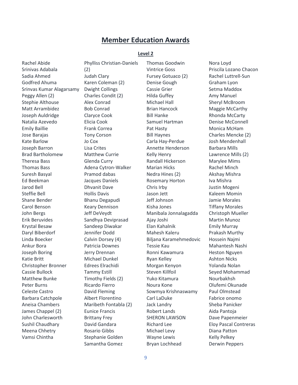### **Member Education Awards**

#### **Level 2**

Rachel Abide Srinivas Adabala Sadia Ahmed Godfred Ahuma Srinvas Kumar Alagarsamy Peggy Allen (2) Stephie Althouse Matt Arrambidez Joseph Auldridge Natalia Azevedo Emily Baillie Jose Barajas Kate Barlow Joseph Barron Brad Bartholomew Theresa Bass Thomas Bass Suresh Basyal Ed Beekman Jarod Bell Steffie Bell Shane Bender Carol Benson John Bergs Erik Beruvides Krystal Besaw Daryl Biberdorf Linda Boecker Ankur Bora Joseph Boring Katie Britt Christopher Bronner Cassie Bullock Matthew Bunke Peter Burns Celeste Castro Barbara Catchpole Aneisa Chambers James Chappel (2) John Charlesworth Sushil Chaudhary Meena Chhetry Vamsi Chintha

Phylliss Christian-Daniels (2) Judah Clary Karen Coleman (2) Dwight Collings Charles Condit (2) Alex Conrad Bob Conrad Claryce Cook Elicia Cook Frank Correa Tony Corson Jo Cox Lisa Crites Matthew Currie Glenda Curry Adena Cytron-Walker Pramod dabas Jacques Daniels Dhvanit Dave Hollis Davis Bhanu Degapudi Keary Dennison Jeff DeVeydt Sandhya Deviprasad Sandeep Diwakar Jennifer Dodd Calvin Dorsey (4) Patricia Downes Jerry Drennan Michael Dunkel Edrees Elrachidi Tammy Estill Timothy Fields (2) Ricardo Fierro David Fleming Albert Florentino Maribeth Fontabla (2) Eunice Francis Brittany Frey David Gandara Rosario Gibbs Stephanie Golden Samantha Gomez

Thomas Goodwin Vintrice Goss Fursey Gotuaco (2) Denise Gough Cassie Grier Hilda Guffey Michael Hall Brian Hancock Bill Hanke Samuel Hartman Pat Hasty Bill Haynes Carla Hay-Perdue Annette Henderson Kelly Henry Randall Hickerson Marian Hicks Nedra Hines (2) Rosemary Horton Chris Irby Jason Jett Jeff Johnson Kisha Jones Manibala Jonnalagadda Ajay Joshi Elan Kahalnik Mahesh Kaleru Biljana Karamehmedovic Tessie Kau Ronni Kawamura Ryan Kelley Morgan Kenyon Steven Killfoil Yuko Kitamura Noura Kone Sowmya Krishnaswamy Carl LaDuke Jack Landry Robert Lands SHERON LAWSON Richard Lee Michael Levy Wayne Lewis Bryan Lochhead

Nora Loyd Priscila Lozano Chacon Rachel Luttrell-Sun Graham Lyon Setma Maddox Amy Manuel Sheryl McBroom Maggie McCarthy Rhonda McCarty Denise McConnell Monica McHam Charles Mencke (2) Josh Mendenhall Barbara Mills Lawrence Mills (2) Marylee Mims Rachel Minch Akshay Mishra Iva Mishra Justin Mogeni Kaleem Momin Jamie Morales Tiffany Morales Christoph Mueller Martin Munoz Emily Murray Prakash Murthy Hossein Najmi Mahantesh Nashi Heston Nguyen Ashton Nicks Yolanda Nolan Seyed Mohammad Nourbakhsh Olufemi Okunade Paul Olmstead Fabrice onomo Sheba Panicker Aida Pantoja Dave Papenmeier Eloy Pascal Contreras Diana Patton Kelly Pelkey Derwin Peppers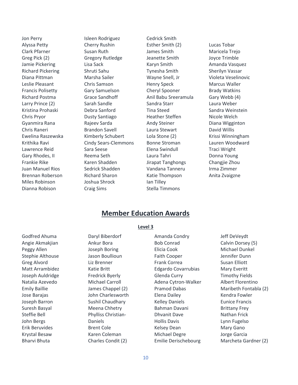Jon Perry Alyssa Petty Clark Pfarner Greg Pick (2) Jamie Pickering Richard Pickering Diana Pittman Leslie Pleasant Francis Polisetty Richard Postma Larry Prince (2) Kristina Prohaski Chris Pryor Gyanmira Rana Chris Raneri Ewelina Raszewska Krithika Ravi Lawrence Reid Gary Rhodes, II Frankie Rike Juan Manuel Rios Brennan Roberson Miles Robinson Dianna Robison

Isleen Rodriguez Cherry Rushin Susan Ruth Gregory Rutledge Lisa Sack Shruti Sahu Marsha Sailer Chris Samson Gary Samuelson Grace Sandhoff Sarah Sandle Debra Sanford Dusty Santiago Rajeev Sarda Brandon Savell Kimberly Schubert Cindy Sears-Clemmons Sara Seese Reema Seth Karen Shadden Sedrick Shadden Richard Sharon Joshua Shrock Craig Sims

Cedrick Smith Esther Smith (2) James Smith Jeanette Smith Karyn Smith Tynesha Smith Wayne Snell, Jr Henry Speck Cheryl Spooner Anil Babu Sreeramula Sandra Starr Tina Steed Heather Steffen Andy Steiner Laura Stewart Lola Stone (2) Bonne Stroman Elena Swindull Laura Tahri Jirapat Tanghongs Vandana Tanneru Katie Thompson Ian Tilley Stella Timmons

Lucas Tobar Maricela Trejo Joyce Trimble Amanda Vasquez Sherilyn Vassar Violeta Veselinovic Marcus Waller Brady Watkins Gary Webb (4) Laura Weber Sandra Weinstein Nicole Welch Diana Wigginton David Willis Krissi Winningham Lauren Woodward Traci Wright Donna Young Changjie Zhou Irma Zimmer Anita Zvaigzne

### **Member Education Awards**

Godfred Ahuma Angie Akmakjian Peggy Allen Stephie Althouse Greg Alvord Matt Arrambidez Joseph Auldridge Natalia Azevedo Emily Baillie Jose Barajas Joseph Barron Suresh Basyal Steffie Bell John Bergs Erik Beruvides Krystal Besaw Bharvi Bhuta

**Level 3**

Daryl Biberdorf Ankur Bora Joseph Boring Jason Boullioun Liz Brenner Katie Britt Fredrick Byerly Michael Carroll James Chappel (2) John Charlesworth Sushil Chaudhary Meena Chhetry Phylliss Christian-Daniels Brent Cole Karen Coleman Charles Condit (2)

Amanda Condry Bob Conrad Elicia Cook Faith Cooper Frank Correa Edgardo Covarrubias Glenda Curry Adena Cytron-Walker Pramod Dabas Elena Dailey Kelley Daniels Bahman Davani Dhvanit Dave Hollis Davis Kelsey Dean Michael Degre Emilie Derischebourg

### Jeff DeVeydt Calvin Dorsey (5) Michael Dunkel Jennifer Dunn Susan Elliott Mary Everitt Timothy Fields Albert Florentino Maribeth Fontabla (2) Kendra Fowler Eunice Francis Brittany Frey Nathan Frick Lynn Fugelso Mary Gano Jorge Garcia Marcheta Gardner (2)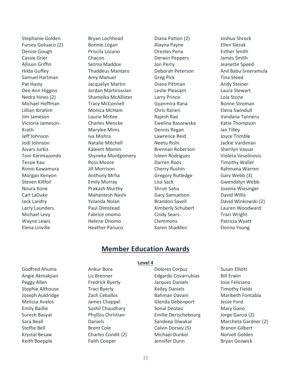Stephanie Golden Fursey Gotuaco (2) Denise Gough Cassie Grier Allison Griffin Hilda Guffey Samuel Hartman Pat Hasty Dee Ann Higgins Nedra Hines (2) Michael Hoffman Lillian Ibrahim Jim Jameson Victoria Jameson-Krath Jeff Johnson Jodi Johnson Aivars Jurkis Toni Karimazondo Tessie Kau Ronni Kawamura Morgan Kenyon Steven Killfoil Noura Kone Carl LaDuke Jack Landry Larry Launders Michael Levy Wayne Lewis Elena Linville

Bryan Lochhead Bonnie Logan Priscila Lozano Chacon Setma Maddox Thaddeus Mantaro Amy Manuel Jacquelyn Martin Jordan Martirossian Shameika McAllister Tracy McConnell Monica McHam Laurie McKee Charles Mencke Marylee Mims Iva Mishra Natalie Mitchell Kaleem Momin Shyneka Montgomery Ross Moore Jill Morrison Anthony Mrha Emily Murray Prakash Murthy Mahantesh Nashi Yolanda Nolan Paul Olmstead Fabrice onomo Helene Onomo Heather Panuco

Diana Patton (2) Alayna Payne Orestes Pena Derwin Peppers Jon Perry Deborah Peterson Greg Pick Diana Pittman Leslie Pleasant Larry Prince Gyanmira Rana Chris Raneri Rajesh Rao Ewelina Raszewska Dennis Regan Lawrence Reid Neetu Rishi Brennan Roberson Isleen Rodriguez Darren Roos Cherry Rushin Gregory Rutledge Lisa Sack Shruti Sahu Gary Samuelson Brandon Savell Kimberly Schubert Cindy Sears-Clemmons Karen Shadden

Joshua Shrock Ellen Slezak Esther Smith James Smith Jeanette Speed Anil Babu Sreeramula Tina Steed Andy Steiner Laura Stewart Lola Stone Bonne Stroman Elena Swindull Vandana Tanneru Katie Thompson Ian Tilley Joyce Trimble Jackie Vardiman Sherilyn Vassar Violeta Veselinovic Timothy Waller Rahmana Warren Gary Webb (3) Gwendalyn Webb Joanna Wiesinger David Willis David Winkowski (2) Lauren Woodward Traci Wright Patricia Wyatt Donna Young

### **Member Education Awards**

#### **Level 4**

Godfred Ahuma Angie Akmakjian Peggy Allen Stephie Althouse Joseph Auldridge Melissa Avalos Emily Baillie Suresh Basyal Sara Beall Steffie Bell Krystal Besaw Keith Boepple

Ankur Bora Liz Brenner Fredrick Byerly Traci Byerly Zach Ceballos James Chappel Sushil Chaudhary Phylliss Christian-Daniels Brent Cole Charles Condit (2) Faith Cooper

Dolores Corpuz Edgardo Covarrubias Jacques Daniels Kelley Daniels Bahman Davani Glenda Debenport Sonal Deolasi Emilie Derischebourg Sandeep Diwakar Calvin Dorsey (5) Michael Dunkel Jennifer Dunn

### Susan Elliott Bill Erwin Jose Feliciano Timothy Fields Maribeth Fontabla Jesse Ford Mary Gano Jorge Garcia (2) Marcheta Gardner (2) Branon Gilbert Norvell Golden Bryan Goswick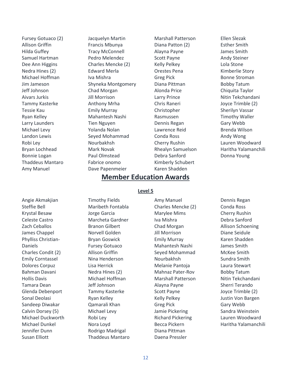Fursey Gotuaco (2) Allison Griffin Hilda Guffey Samuel Hartman Dee Ann Higgins Nedra Hines (2) Michael Hoffman Jim Jameson Jeff Johnson Aivars Jurkis Tammy Kasterke Tessie Kau Ryan Kelley Larry Launders Michael Levy Landon Lewis Robi Ley Bryan Lochhead Bonnie Logan Thaddeus Mantaro Amy Manuel

Jacquelyn Martin Francis Mbunya Tracy McConnell Pedro Melendez Charles Mencke (2) Edward Merla Iva Mishra Shyneka Montgomery Chad Morgan Jill Morrison Anthony Mrha Emily Murray Mahantesh Nashi Tien Nguyen Yolanda Nolan Seyed Mohammad Nourbakhsh Mark Novak Paul Olmstead Fabrice onomo Dave Papenmeier

Marshall Patterson Diana Patton (2) Alayna Payne Scott Payne Kelly Pelkey Orestes Pena Greg Pick Diana Pittman Alonda Price Larry Prince Chris Raneri Christopher Rasmussen Dennis Regan Lawrence Reid Conda Ross Cherry Rushin Rhealyn Samuelson Debra Sanford Kimberly Schubert Karen Shadden

### Ellen Slezak Esther Smith James Smith Andy Steiner Lola Stone Kimberlie Story Bonne Stroman Bobby Tatum Chiquita Taylor Nitin Tekchandani Joyce Trimble (2) Sherilyn Vassar Timothy Waller Gary Webb Brenda Wilson Andy Wong Lauren Woodward Haritha Yalamanchili Donna Young

### **Member Education Awards**

#### **Level 5**

Angie Akmakjian Steffie Bell Krystal Besaw Celeste Castro Zach Ceballos James Chappel Phylliss Christian-Daniels Charles Condit (2) Emily Corntassel Dolores Corpuz Bahman Davani Hollis Davis Tamara Dean Glenda Debenport Sonal Deolasi Sandeep Diwakar Calvin Dorsey (5) Michael Duckworth Michael Dunkel Jennifer Dunn Susan Elliott

Timothy Fields Maribeth Fontabla Jorge Garcia Marcheta Gardner Branon Gilbert Norvell Golden Bryan Goswick Fursey Gotuaco Allison Griffin Nina Henderson Lisa Herrick Nedra Hines (2) Michael Hoffman Jeff Johnson Tammy Kasterke Ryan Kelley Qamarali Khan Michael Levy Robi Ley Nora Loyd Rodrigo Madrigal Thaddeus Mantaro Amy Manuel Charles Mencke (2) Marylee Mims Iva Mishra Chad Morgan Jill Morrison Emily Murray Mahantesh Nashi Seyed Mohammad Nourbakhsh Melanie Pantoja Mahnaz Pater-Rov Marshall Patterson Alayna Payne Scott Payne Kelly Pelkey Greg Pick Jamie Pickering Richard Pickering Becca Pickern Diana Pittman Daena Pressler

Dennis Regan Conda Ross Cherry Rushin Debra Sanford Allison Schoening Diane Seidule Karen Shadden James Smith McKee Smith Sundra Smith Laura Stewart Bobby Tatum Nitin Tekchandani Sherri Terando Joyce Trimble (2) Justin Von Bargen Gary Webb Sandra Weinstein Lauren Woodward Haritha Yalamanchili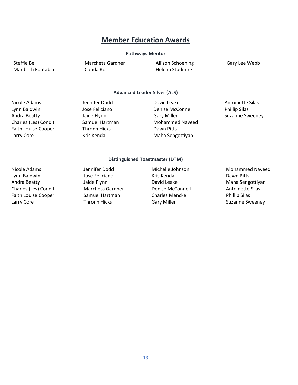### **Member Education Awards**

#### **Pathways Mentor**

Maribeth Fontabla Conda Ross Helena Studmire

Steffie Bell Marcheta Gardner Allison Schoening Gary Lee Webb

#### **Advanced Leader Silver (ALS)**

Faith Louise Cooper Thronn Hicks Dawn Pitts Larry Core **Maha Sengottiyan** Kris Kendall Maha Sengottiyan

Nicole Adams Jennifer Dodd David Leake Antoinette Silas

Lynn Baldwin Jose Feliciano Denise McConnell Phillip Silas Andra Beatty **Summan Andra Beatty** Jaide Flynn **Gary Miller** Gary Miller Suzanne Sweeney Charles (Les) Condit **Samuel Hartman** Mohammed Naveed

Nicole Adams **Michelle Johnson** Michelle Johnson Mohammed Naveed Lynn Baldwin **Channell Communist Communist Communist Communist Communist Communist Communist Communist Communist Communist Communist Communist Communist Communist Communist Communist Communist Communist Communist Communist** Andra Beatty **Automakia Sengottiyan** Jaide Flynn **David Leake** Maha Sengottiyan Charles (Les) Condit Marcheta Gardner Denise McConnell Antoinette Silas

#### **Distinguished Toastmaster (DTM)**

Faith Louise Cooper Samuel Hartman Charles Mencke Phillip Silas

Larry Core **Thronn Hicks** Gary Miller Gary Miller Suzanne Sweeney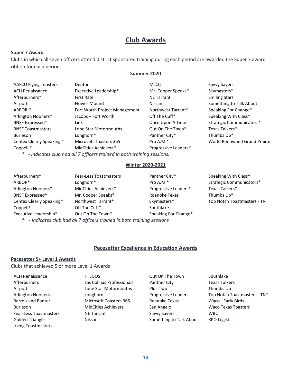### **Club Awards**

#### **Super 7 Award**

Clubs in which all seven officers attend district sponsored training during each period are awarded the Super 7 award ribbon for each period.

#### **Summer 2020**

| <b>AAFCU Flying Toasters</b> | Denton                                                                    | <b>MLCC</b>          | Savvy Sayers                 |
|------------------------------|---------------------------------------------------------------------------|----------------------|------------------------------|
| <b>ACH Renaissance</b>       | Executive Leadership*                                                     | Mr. Cooper Speaks*   | Skymasters*                  |
| Afterburners*                | <b>First Rate</b>                                                         | <b>NE Tarrant</b>    | <b>Smiling Stars</b>         |
| Airport                      | Flower Mound                                                              | Nissan               | Something to Talk About      |
| ARBOR *                      | Fort Worth Project Management                                             | Northwest Tarrant*   | Speaking For Change*         |
| Arlington Nooners*           | Jacobs - Fort Worth                                                       | Off The Cuff*        | Speaking With Class*         |
| <b>BNSF Expressed*</b>       | Link                                                                      | Once Upon A Time     | Strategic Communicators*     |
| <b>BNSF Toastmasters</b>     | Lone Star Motormouths                                                     | Out On The Town*     | Texas Talkers*               |
| <b>Burleson</b>              | Longhorn*                                                                 | Panther City*        | Thumbs Up*                   |
| Centex Clearly Speaking *    | Microsoft Toasters 365                                                    | Pro A.M.*            | World Renowned Grand Prairie |
| Coppell <sup>*</sup>         | MidCities Achievers*                                                      | Progressive Leaders* |                              |
|                              | $*$ - Indicates club had all 7 officers trained in both training sessions |                      |                              |

*\* - Indicates club had all 7 officers trained in both training sessions.*

#### **Winter 2020-2021**

| Afterburners*            | <b>Fear-Less Toastmasters</b>                                            | Panther City*        | Speaking With Class*                |
|--------------------------|--------------------------------------------------------------------------|----------------------|-------------------------------------|
| ARBOR*                   | Longhorn*                                                                | Pro A.M.*            | Strategic Communicators*            |
| Arlington Nooners*       | MidCities Achievers*                                                     | Progressive Leaders* | Texas Talkers*                      |
| BNSF Expressed*          | Mr. Cooper Speaks*                                                       | Roanoke Texas        | Thumbs Up*                          |
| Centex Clearly Speaking* | Northwest Tarrant*                                                       | Skymasters*          | <b>Top Notch Toastmasters - TNT</b> |
| Coppell*                 | Off The Cuff*                                                            | Southlake            |                                     |
| Executive Leadership*    | Out On The Town*                                                         | Speaking For Change* |                                     |
|                          | $*$ Indicates club had all 7 officers trained in both training sessions. |                      |                                     |

*\* - Indicates club had all 7 officers trained in both training sessions*

### **Pacesetter Excellence in Education Awards**

#### **Pacesetter 5+ Level 1 Awards**

Clubs that achieved 5 or more Level 1 Awards

| <b>ACH Renaissance</b>        | <b>IT EGOS</b>                | Out On The Town         | Southlake                    |
|-------------------------------|-------------------------------|-------------------------|------------------------------|
| Afterburners                  | Las Colinas Professionals     | <b>Panther City</b>     | <b>Texas Talkers</b>         |
| Airport                       | Lone Star Motormouths         | Plus-Two                | Thumbs Up                    |
| <b>Arlington Nooners</b>      | Longhorn                      | Progressive Leaders     | Top Notch Toastmasters - TNT |
| <b>Barrels and Banter</b>     | <b>Microsoft Toasters 365</b> | Roanoke Texas           | Waco - Early Birds           |
| <b>Burleson</b>               | <b>MidCities Achievers</b>    | San Angelo              | <b>Waco Texas Toasters</b>   |
| <b>Fear-Less Toastmasters</b> | <b>NE Tarrant</b>             | Savvy Savers            | <b>WBC</b>                   |
| Golden Triangle               | Nissan                        | Something to Talk About | <b>XPO Logistics</b>         |
| <b>Irving Toastmasters</b>    |                               |                         |                              |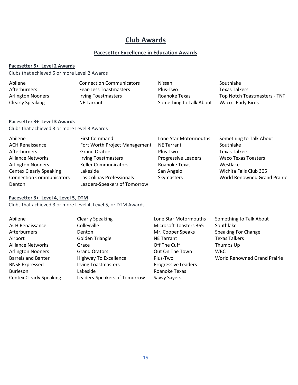### **Club Awards**

### **Pacesetter Excellence in Education Awards**

#### **Pacesetter 5+ Level 2 Awards**

Clubs that achieved 5 or more Level 2 Awards

| Abilene                  | <b>Connection Communicators</b> | <b>Nissan</b>           | Southlake                           |
|--------------------------|---------------------------------|-------------------------|-------------------------------------|
| Afterburners             | <b>Fear-Less Toastmasters</b>   | Plus-Two                | <b>Texas Talkers</b>                |
| <b>Arlington Nooners</b> | <b>Irving Toastmasters</b>      | Roanoke Texas           | <b>Top Notch Toastmasters - TNT</b> |
| Clearly Speaking         | <b>NE Tarrant</b>               | Something to Talk About | Waco - Early Birds                  |

#### **Pacesetter 3+ Level 3 Awards**

Clubs that achieved 3 or more Level 3 Awards

| Abilene                         | <b>First Command</b>          | Lone Star Motormouths      | Something to Talk About             |
|---------------------------------|-------------------------------|----------------------------|-------------------------------------|
| <b>ACH Renaissance</b>          | Fort Worth Project Management | <b>NE Tarrant</b>          | Southlake                           |
| Afterburners                    | <b>Grand Orators</b>          | Plus-Two                   | <b>Texas Talkers</b>                |
| <b>Alliance Networks</b>        | <b>Irving Toastmasters</b>    | <b>Progressive Leaders</b> | <b>Waco Texas Toasters</b>          |
| <b>Arlington Nooners</b>        | <b>Keller Communicators</b>   | Roanoke Texas              | Westlake                            |
| <b>Centex Clearly Speaking</b>  | Lakeside                      | San Angelo                 | Wichita Falls Club 305              |
| <b>Connection Communicators</b> | Las Colinas Professionals     | Skymasters                 | <b>World Renowned Grand Prairie</b> |
| Denton                          | Leaders-Speakers of Tomorrow  |                            |                                     |

### **Pacesetter 3+ Level 4, Level 5, DTM**

Clubs that achieved 3 or more Level 4, Level 5, or DTM Awards

| Abilene                        | <b>Clearly Speaking</b>      | Lone Star Motormouths         | Something to Talk About      |
|--------------------------------|------------------------------|-------------------------------|------------------------------|
| <b>ACH Renaissance</b>         | Colleyville                  | <b>Microsoft Toasters 365</b> | Southlake                    |
| <b>Afterburners</b>            | Denton                       | Mr. Cooper Speaks             | Speaking For Change          |
| Airport                        | Golden Triangle              | <b>NE Tarrant</b>             | <b>Texas Talkers</b>         |
| <b>Alliance Networks</b>       | Grace                        | Off The Cuff                  | Thumbs Up                    |
| <b>Arlington Nooners</b>       | <b>Grand Orators</b>         | Out On The Town               | <b>WBC</b>                   |
| <b>Barrels and Banter</b>      | Highway To Excellence        | Plus-Two                      | World Renowned Grand Prairie |
| <b>BNSF Expressed</b>          | <b>Irving Toastmasters</b>   | <b>Progressive Leaders</b>    |                              |
| <b>Burleson</b>                | Lakeside                     | Roanoke Texas                 |                              |
| <b>Centex Clearly Speaking</b> | Leaders-Speakers of Tomorrow | Savvy Sayers                  |                              |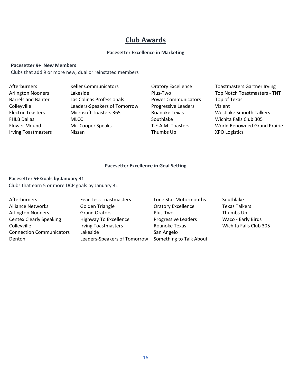### **Club Awards**

#### **Pacesetter Excellence in Marketing**

#### **Pacesetter 9+ New Members**

Clubs that add 9 or more new, dual or reinstated members

Afterburners **Keller Communicators** Cratory Excellence Toastmasters Gartner Irving Arlington Nooners Lakeside **Example 20 and Top Notch Toastmasters - TNT** Barrels and Banter Las Colinas Professionals **Power Communicators** Top of Texas Colleyville Leaders-Speakers of Tomorrow Progressive Leaders Vizient Electric Toasters Microsoft Toasters 365 Roanoke Texas Westlake Smooth Talkers FHLB Dallas **MLCC** MUSCO MEGIC MEGIC RESOUT BOOT AND SOUTHIAKE MICHITAL MICHITA Falls Club 305 Flower Mound Mr. Cooper Speaks T.E.A.M. Toasters World Renowned Grand Prairie Irving Toastmasters Nissan Thumbs Up XPO Logistics

#### **Pacesetter Excellence in Goal Setting**

#### **Pacesetter 5+ Goals by January 31**

Clubs that earn 5 or more DCP goals by January 31

Alliance Networks **Golden Triangle Colden Triangle** Oratory Excellence Texas Talkers Arlington Nooners Grand Orators Plus-Two Thumbs Up Centex Clearly Speaking Highway To Excellence Progressive Leaders Waco - Early Birds Colleyville **Irving Toastmasters** Roanoke Texas Wichita Falls Club 305 Connection Communicators Lakeside San Angelo Denton Leaders-Speakers of Tomorrow Something to Talk About

Afterburners **Fear-Less Toastmasters** Lone Star Motormouths Southlake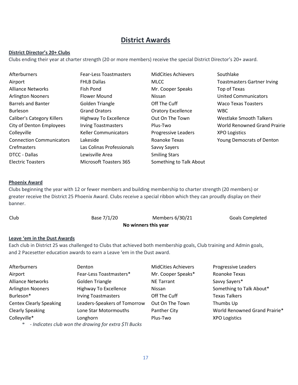### **District Awards**

### **District Director's 20+ Clubs**

Clubs ending their year at charter strength (20 or more members) receive the special District Director's 20+ award.

| Afterburners                      | <b>Fear-Less Toastmasters</b> | <b>MidCities Achievers</b> | Southlake                           |
|-----------------------------------|-------------------------------|----------------------------|-------------------------------------|
| Airport                           | <b>FHLB Dallas</b>            | <b>MLCC</b>                | <b>Toastmasters Gartner Irving</b>  |
| <b>Alliance Networks</b>          | Fish Pond                     | Mr. Cooper Speaks          | Top of Texas                        |
| <b>Arlington Nooners</b>          | <b>Flower Mound</b>           | <b>Nissan</b>              | <b>United Communicators</b>         |
| <b>Barrels and Banter</b>         | Golden Triangle               | Off The Cuff               | <b>Waco Texas Toasters</b>          |
| <b>Burleson</b>                   | <b>Grand Orators</b>          | <b>Oratory Excellence</b>  | <b>WBC</b>                          |
| <b>Caliber's Category Killers</b> | Highway To Excellence         | Out On The Town            | Westlake Smooth Talkers             |
| City of Denton Employees          | <b>Irving Toastmasters</b>    | Plus-Two                   | <b>World Renowned Grand Prairie</b> |
| Colleyville                       | <b>Keller Communicators</b>   | <b>Progressive Leaders</b> | <b>XPO Logistics</b>                |
| <b>Connection Communicators</b>   | Lakeside                      | Roanoke Texas              | <b>Young Democrats of Denton</b>    |
| Crefmasters                       | Las Colinas Professionals     | Savvy Sayers               |                                     |
| DTCC - Dallas                     | Lewisville Area               | <b>Smiling Stars</b>       |                                     |
| <b>Electric Toasters</b>          | <b>Microsoft Toasters 365</b> | Something to Talk About    |                                     |

#### **Phoenix Award**

Clubs beginning the year with 12 or fewer members and building membership to charter strength (20 members) or greater receive the District 25 Phoenix Award. Clubs receive a special ribbon which they can proudly display on their banner.

| Club | Base 7/1/20          | Members 6/30/21 | Goals Completed |
|------|----------------------|-----------------|-----------------|
|      | No winners this year |                 |                 |

### **Leave 'em in the Dust Awards**

Each club in District 25 was challenged to Clubs that achieved both membership goals, Club training and Admin goals, and 2 Pacesetter education awards to earn a Leave 'em in the Dust award.

| Afterburners                   | Denton                                                      | <b>MidCities Achievers</b> | <b>Progressive Leaders</b>    |
|--------------------------------|-------------------------------------------------------------|----------------------------|-------------------------------|
| Airport                        | Fear-Less Toastmasters*                                     | Mr. Cooper Speaks*         | Roanoke Texas                 |
| <b>Alliance Networks</b>       | <b>Golden Triangle</b>                                      | <b>NE Tarrant</b>          | Savvy Sayers*                 |
| <b>Arlington Nooners</b>       | <b>Highway To Excellence</b>                                | Nissan                     | Something to Talk About*      |
| Burleson*                      | <b>Irving Toastmasters</b>                                  | Off The Cuff               | <b>Texas Talkers</b>          |
| <b>Centex Clearly Speaking</b> | Leaders-Speakers of Tomorrow                                | Out On The Town            | Thumbs Up                     |
| <b>Clearly Speaking</b>        | Lone Star Motormouths                                       | Panther City               | World Renowned Grand Prairie* |
| Colleyville*                   | Longhorn                                                    | Plus-Two                   | <b>XPO Logistics</b>          |
|                                | we full contact the contact of the following development of |                            |                               |

*\* - Indicates club won the drawing for extra \$TI Bucks*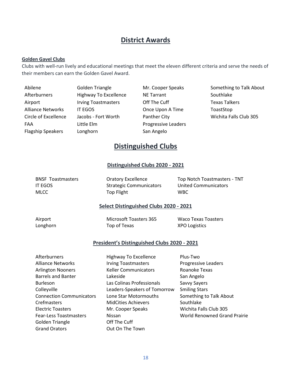### **District Awards**

#### **Golden Gavel Clubs**

Clubs with well-run lively and educational meetings that meet the eleven different criteria and serve the needs of their members can earn the Golden Gavel Award.

| Abilene                  |   |
|--------------------------|---|
| Afterburners             |   |
| Airport                  |   |
| <b>Alliance Networks</b> |   |
| Circle of Excellence     | ı |
| FAA                      |   |
| <b>Flagship Speakers</b> |   |

Little Elm **Elm** Progressive Leaders Elagship San Angelo

Highway To Excellence NE Tarrant Southlake Irving Toastmasters **Off The Cuff** The Texas Talkers T EGOS **CONCEY CONCEY CONCEY CONCEY TO A Time** ToastStop

Golden Triangle **Mr. Cooper Speaks** Something to Talk About Accobs - Fort Worth Panther City **Panther City** Wichita Falls Club 305

### **Distinguished Clubs**

#### **Distinguished Clubs 2020 - 2021**

IT EGOS Strategic Communicators United Communicators MLCC **Top Flight** WBC

BNSF Toastmasters **Oratory Excellence** Top Notch Toastmasters - TNT

### **Select Distinguished Clubs 2020 - 2021**

Airport **Microsoft Toasters 365** Waco Texas Toasters Longhorn Top of Texas XPO Logistics

#### **President's Distinguished Clubs 2020 - 2021**

| Afterburners                    | <b>Highway To Excellence</b> | Plus-Two                            |
|---------------------------------|------------------------------|-------------------------------------|
| <b>Alliance Networks</b>        | <b>Irving Toastmasters</b>   | Progressive Leaders                 |
| <b>Arlington Nooners</b>        | <b>Keller Communicators</b>  | Roanoke Texas                       |
| <b>Barrels and Banter</b>       | Lakeside                     | San Angelo                          |
| <b>Burleson</b>                 | Las Colinas Professionals    | Savvy Sayers                        |
| Colleyville                     | Leaders-Speakers of Tomorrow | <b>Smiling Stars</b>                |
| <b>Connection Communicators</b> | Lone Star Motormouths        | Something to Talk About             |
| Crefmasters                     | <b>MidCities Achievers</b>   | Southlake                           |
| <b>Electric Toasters</b>        | Mr. Cooper Speaks            | Wichita Falls Club 305              |
| <b>Fear-Less Toastmasters</b>   | <b>Nissan</b>                | <b>World Renowned Grand Prairie</b> |
| Golden Triangle                 | Off The Cuff                 |                                     |
| <b>Grand Orators</b>            | Out On The Town              |                                     |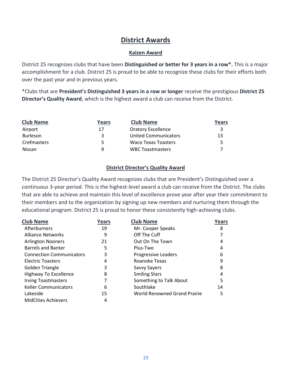### **District Awards**

### **Kaizen Award**

District 25 recognizes clubs that have been **Distinguished or better for 3 years in a row\*.** This is a major accomplishment for a club. District 25 is proud to be able to recognize these clubs for their efforts both over the past year and in previous years.

\*Clubs that are **President's Distinguished 3 years in a row or longer** receive the prestigious **District 25 Director's Quality Award**, which is the highest award a club can receive from the District.

| <b>Club Name</b> | Years | <b>Club Name</b>            | Years |
|------------------|-------|-----------------------------|-------|
| Airport          | 17    | <b>Oratory Excellence</b>   |       |
| <b>Burleson</b>  | ર     | <b>United Communicators</b> | 13    |
| Crefmasters      | 5.    | <b>Waco Texas Toasters</b>  |       |
| Nissan           | a     | <b>WBC Toastmasters</b>     |       |

### **District Director's Quality Award**

The District 25 Director's Quality Award recognizes clubs that are President's Distinguished over a continuous 3-year period. This is the highest-level award a club can receive from the District. The clubs that are able to achieve and maintain this level of excellence prove year after year their commitment to their members and to the organization by signing up new members and nurturing them through the educational program. District 25 is proud to honor these consistently high-achieving clubs.

| <b>Club Name</b>                | Years | <b>Club Name</b>                    | Years |
|---------------------------------|-------|-------------------------------------|-------|
| Afterburners                    | 19    | Mr. Cooper Speaks                   | 8     |
| <b>Alliance Networks</b>        | 9     | Off The Cuff                        |       |
| <b>Arlington Nooners</b>        | 21    | Out On The Town                     | 4     |
| <b>Barrels and Banter</b>       | 5     | Plus-Two                            | 4     |
| <b>Connection Communicators</b> | 3     | Progressive Leaders                 | 6     |
| <b>Electric Toasters</b>        | 4     | Roanoke Texas                       | 9     |
| Golden Triangle                 | 3     | Savvy Sayers                        | 8     |
| Highway To Excellence           | 8     | <b>Smiling Stars</b>                | 4     |
| <b>Irving Toastmasters</b>      |       | Something to Talk About             | 5     |
| <b>Keller Communicators</b>     | 6     | Southlake                           | 14    |
| Lakeside                        | 15    | <b>World Renowned Grand Prairie</b> | 5     |
| <b>MidCities Achievers</b>      | 4     |                                     |       |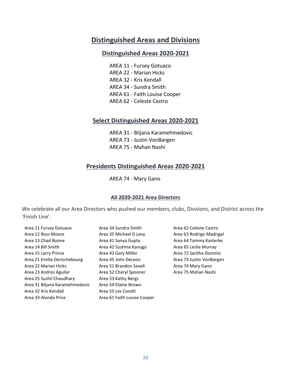### **Distinguished Areas and Divisions**

### **Distinguished Areas 2020-2021**

AREA 11 - Fursey Gotuaco AREA 22 - Marian Hicks AREA 32 - Kris Kendall AREA 34 - Sundra Smith AREA 61 - Faith Louise Cooper AREA 62 - Celeste Castro

### **Select Distinguished Areas 2020-2021**

AREA 31 - Biljana Karamehmedovic AREA 73 - Justin VonBargen AREA 75 - Mahan Nashi

### **Presidents Distinguished Areas 2020-2021**

### AREA 74 - Mary Gano

#### **All 2020-2021 Area Directors**

We celebrate all our Area Directors who pushed our members, clubs, Divisions, and District across the 'Finish Line'.

| Area 11 Fursey Gotuaco         | Area 34 Sundra Smith        |
|--------------------------------|-----------------------------|
| Area 12 Ross Moore             | Area 35 Michael D Levy      |
| Area 13 Chad Boone             | Area 41 Sanya Gupta         |
| Area 14 Bill Smith             | Area 42 Sushma Kanugo       |
| Area 15 Larry Prince           | Area 43 Gary Miller         |
| Area 21 Emilie Derischebourg   | Area 45 John DeLeon         |
| Area 22 Marian Hicks           | Area 51 Brandon Savell      |
| Area 23 Andres Aguilar         | Area 52 Cheryl Spooner      |
| Area 25 Sushil Chaudhary       | Area 53 Kathy Bergs         |
| Area 31 Biljana Karamehmedovic | Area 54 Elaine Brown        |
| Area 32 Kris Kendall           | Area 55 Les Condit          |
| Area 33 Alonda Price           | Area 61 Faith Louise Cooper |
|                                |                             |

ndra Smith **Area 62 Celeste Castro** ichael D Levy **Area 63 Rodrigo Madrigal** nya Gupta  $\overline{a}$  Boone Area 64 Tammy Kasterke shma Kanugo **Area 65 Leslie Murray** ary Miller **Area 72 Saritha Dominic** hn DeLeon **Area 73 Justin VonBargen** andon Savell **Area 74 Mary Gano** eryl Spooner **Area 75 Mahan Nashi**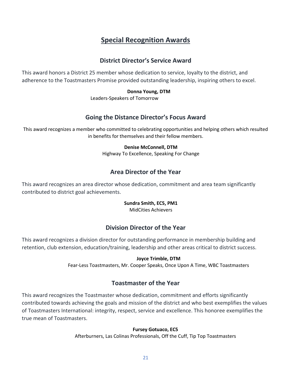### **Special Recognition Awards**

### **District Director's Service Award**

This award honors a District 25 member whose dedication to service, loyalty to the district, and adherence to the Toastmasters Promise provided outstanding leadership, inspiring others to excel.

### **Donna Young, DTM**

Leaders-Speakers of Tomorrow

### **Going the Distance Director's Focus Award**

This award recognizes a member who committed to celebrating opportunities and helping others which resulted in benefits for themselves and their fellow members.

### **Denise McConnell, DTM**

Highway To Excellence, Speaking For Change

### **Area Director of the Year**

This award recognizes an area director whose dedication, commitment and area team significantly contributed to district goal achievements.

### **Sundra Smith, EC5, PM1**

MidCities Achievers

### **Division Director of the Year**

This award recognizes a division director for outstanding performance in membership building and retention, club extension, education/training, leadership and other areas critical to district success.

### **Joyce Trimble, DTM**

Fear-Less Toastmasters, Mr. Cooper Speaks, Once Upon A Time, WBC Toastmasters

### **Toastmaster of the Year**

This award recognizes the Toastmaster whose dedication, commitment and efforts significantly contributed towards achieving the goals and mission of the district and who best exemplifies the values of Toastmasters International: integrity, respect, service and excellence. This honoree exemplifies the true mean of Toastmasters.

### **Fursey Gotuaco, EC5**

Afterburners, Las Colinas Professionals, Off the Cuff, Tip Top Toastmasters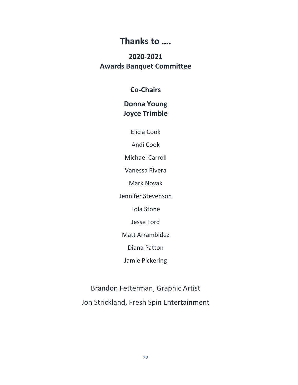### **Thanks to ….**

### **2020-2021 Awards Banquet Committee**

### **Co-Chairs**

### **Donna Young Joyce Trimble**

Elicia Cook

Andi Cook

Michael Carroll

Vanessa Rivera

Mark Novak

Jennifer Stevenson

Lola Stone

Jesse Ford

Matt Arrambidez

Diana Patton

Jamie Pickering

Brandon Fetterman, Graphic Artist Jon Strickland, Fresh Spin Entertainment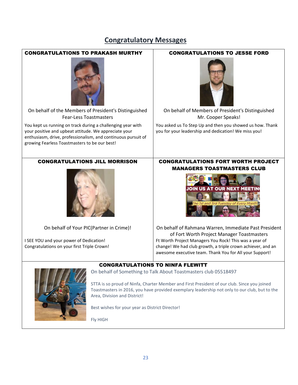### **Congratulatory Messages**



Fly HIGH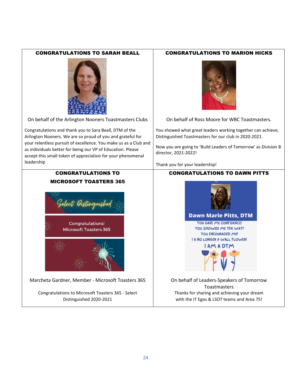### CONGRATULATIONS TO SARAH BEALL CONGRATULATIONS TO MARION HICKS



On behalf of the Arlington Nooners Toastmasters Clubs | On behalf of Ross Moore for WBC Toastmasters.

Congratulations and thank you to Sara Beall, DTM of the Arlington Nooners. We are so proud of you and grateful for your relentless pursuit of excellence. You make us as a Club and as individuals better for being our VP of Education. Please accept this small token of appreciation for your phenomenal leadership

### CONGRATULATIONS TO MICROSOFT TOASTERS 365



**Congratulations! Microsoft Toasters 365** 



Marcheta Gardner, Member - Microsoft Toasters 365 | On behalf of Leaders-Speakers of Tomorrow

Congratulations to Microsoft Toasters 365 - Select Distinguished 2020-2021



You showed what great leaders working together can achieve, Distinguished Toastmasters for our club in 2020-2021.

Now you are going to 'Build Leaders of Tomorrow' as Division B director, 2021-2022!

Thank you for your leadership!

### CONGRATULATIONS TO DAWN PITTS



Toastmasters Thanks for sharing and achieving your dream with the IT Egos & LSOT teams and Area 75!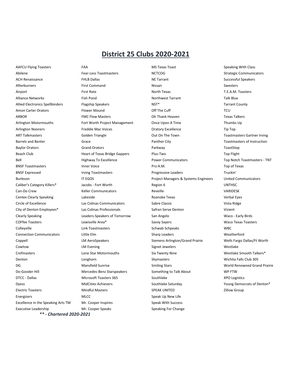### **District 25 Clubs 2020-2021**

AAFCU Flying Toasters **FAA** FAA MS Texas Toast Speaking With Class Executive Leadership **Mr. Cooper Speaks** Speaking For Change

*\*\* - Chartered 2020-2021*

Abilene **Fear-Less Toastmasters** NCTCOG **Strategic Communicators** Strategic Communicators ACH Renaissance **EXALL** Ballas **FHLB Dallas** NE Tarrant NE Tarrant Successful Speakers NE Tarrant Successful Speakers Afterburners **Einesters** First Command **Nissan** Nissan Swesters Airport First Rate North Texas T.E.A.M. Toasters Alliance Networks **Alliance Retworks** Fish Pond **Northwest Tarrant** Northwest Tarrant Talk Blue Allied Electronics Spellbinders Flagship Speakers NST\* NST\* Tarrant County Amon Carter Orators **Flower Mound COM COM COM COM COM COM COM COM COM COM COM COM COM COM COM COM COM COM COM COM COM COM COM COM COM COM COM COM COM COM COM** ARBOR FMC Flow Masters Oh Thank Heaven Texas Talkers Arlington Motormouths Fort Worth Project Management Once Upon A Time Thumbs Up Arlington Nooners **Freddie Mac Voices** Coratory Excellence Coratory Excellence Tip Top ART Talkmasters Golden Triangle Out On The Town Toastmasters Gartner Irving Barrels and Banter **State Accord Controllers** Grace Controllers and Banther City **Panther City** Toastmasters of Instruction Baylor Orators Grand Orators Parkway ToastStop Beach Club **Heart of Texas Bridge Gappers** Plus-Two Plus-Two Top Flight Bell **Excellence** Highway To Excellence **Power Communicators** Top Notch Toastmasters - TNT BNSF Toastmasters **Example 2018** Inner Voice **Construction Construction Pro A.M.** Top of Texas BNSF Expressed Truckin' Irving Toastmasters **Progressive Leaders** Progressive Leaders **Progressive Leaders** Truckin' Burleson **IT EGOS Project Managers & Systems Engineers** United Communicators United Communicators Caliber's Category Killers\* Jacobs - Fort Worth Region 6 Region 6 UNTHSC Can-Do Crew Keller Communicators Reveille VARIDESK Centex Clearly Speaking **Calculation** Lakeside Centex Clearly Speaking Verbal Eyes Circle of Excellence **Las Colinas Communicators** Sabre Classic **Contract Constanting Constanting Constanting Constanting Constanting Constanting Constanting Constanting Constanting Constanting Constanting Constanting Const** City of Denton Employees\* Las Colinas Professionals Safran Serve Denton Vizient Clearly Speaking Leaders-Speakers of Tomorrow San Angelo Waco - Early Birds COFfee Toasters **COFfee Toasters** COFfee Toasters COFfee Toasters COFfee Toasters Area Savvy Sayers COFfee Toasters Waco Texas Toasters Colleyville **Colleyville** Colleyville Colleyville Colleyville Colleyville Colleyville Colleyville Colleyville Colley Colleywille Colleywille Colleywille Colleywille Colleywille Colleywille Colleywille Colleywille Colleywil Connection Communicators Little Elm Sharp Leaders Weatherford Coppell School LM AeroSpeakers Siemens Arlington/Grand Prairie Nells Fargo Dallas/Ft Worth Cowtow **Example 20 Telecom LM Evening** Communications Signet Jewelers Signet Messler School and Messler Westlake Crefmasters **Exercise Star Motormouths** Crefmasters Mestlake Smooth Talkers\* Crefmasters and Mestlake Smooth Talkers\* Denton Longhorn Skymasters Wichita Falls Club 305 DG Samman Mansfield Sunrise Smiling Stars Smiling Stars Smiling Stars Stars Morld Renowned Grand Prairie Do-Gooder Hill **Mercedes-Benz Starspeakers** Something to Talk About **Something to Talk About** WP FTW DTCC - Dallas **Microsoft Toasters 365** Southlake **Southlake XPO Logistics** XPO Logistics Dyess Southlake Saturday MidCities Achievers Southlake Saturday The Southlake Saturday The Southlake Saturday Noung Democrats of Denton\* Electric Toasters **Electric Toasters Accord Contract Mindful Masters** SPEAK UNITED **SPEAK UNITED** 2illow Group Energizers **Energizers** MLCC **MUNICC** Speak Up New Life Excellence in the Speaking Arts TM Mr. Cooper Inspires Speak With Success